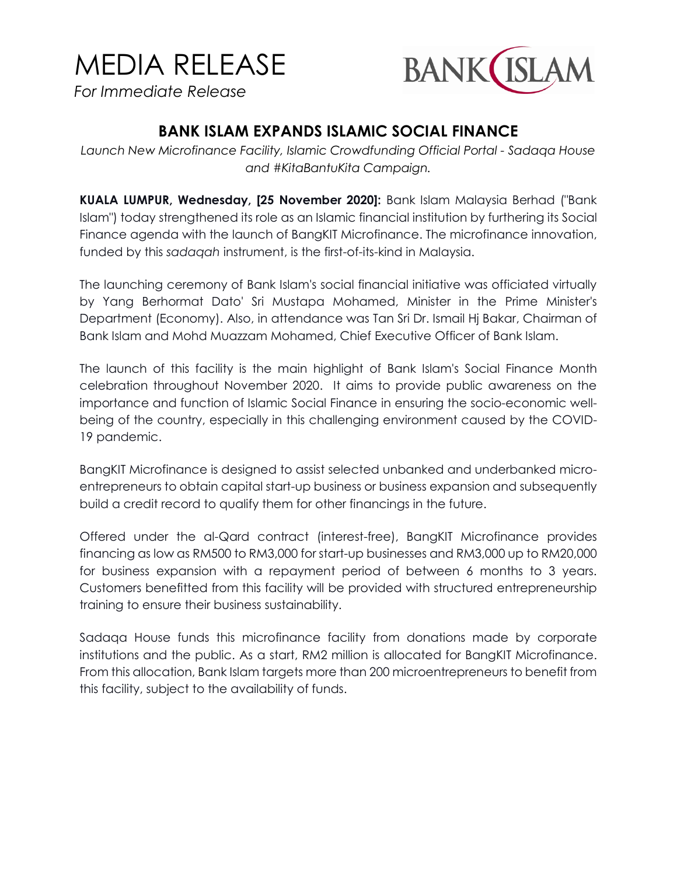## MEDIA RELEASE

*For Immediate Release*



## **BANK ISLAM EXPANDS ISLAMIC SOCIAL FINANCE**

*Launch New Microfinance Facility, Islamic Crowdfunding Official Portal - Sadaqa House and #KitaBantuKita Campaign.*

**KUALA LUMPUR, Wednesday, [25 November 2020]:** Bank Islam Malaysia Berhad ("Bank Islam") today strengthened its role as an Islamic financial institution by furthering its Social Finance agenda with the launch of BangKIT Microfinance. The microfinance innovation, funded by this *sadaqah* instrument, is the first-of-its-kind in Malaysia.

The launching ceremony of Bank Islam's social financial initiative was officiated virtually by Yang Berhormat Dato' Sri Mustapa Mohamed, Minister in the Prime Minister's Department (Economy). Also, in attendance was Tan Sri Dr. Ismail Hj Bakar, Chairman of Bank Islam and Mohd Muazzam Mohamed, Chief Executive Officer of Bank Islam.

The launch of this facility is the main highlight of Bank Islam's Social Finance Month celebration throughout November 2020. It aims to provide public awareness on the importance and function of Islamic Social Finance in ensuring the socio-economic wellbeing of the country, especially in this challenging environment caused by the COVID-19 pandemic.

BangKIT Microfinance is designed to assist selected unbanked and underbanked microentrepreneurs to obtain capital start-up business or business expansion and subsequently build a credit record to qualify them for other financings in the future.

Offered under the al-Qard contract (interest-free), BangKIT Microfinance provides financing as low as RM500 to RM3,000 for start-up businesses and RM3,000 up to RM20,000 for business expansion with a repayment period of between 6 months to 3 years. Customers benefitted from this facility will be provided with structured entrepreneurship training to ensure their business sustainability.

Sadaqa House funds this microfinance facility from donations made by corporate institutions and the public. As a start, RM2 million is allocated for BangKIT Microfinance. From this allocation, Bank Islam targets more than 200 microentrepreneurs to benefit from this facility, subject to the availability of funds.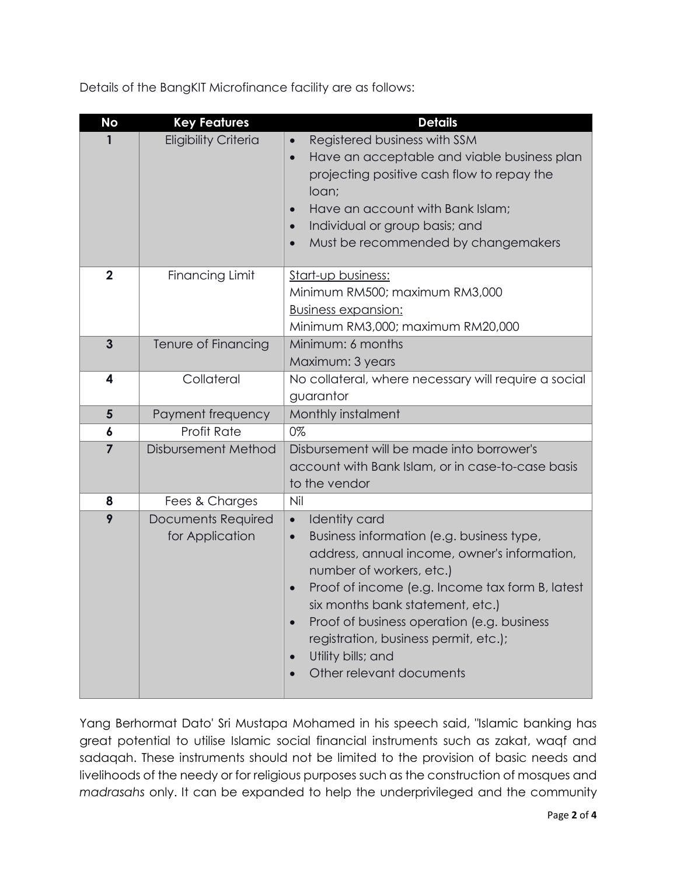Details of the BangKIT Microfinance facility are as follows:

| <b>No</b>      | <b>Key Features</b>                   | <b>Details</b>                                                                                                                                                                                                                                                                                                                                                                                          |  |
|----------------|---------------------------------------|---------------------------------------------------------------------------------------------------------------------------------------------------------------------------------------------------------------------------------------------------------------------------------------------------------------------------------------------------------------------------------------------------------|--|
| 1              | <b>Eligibility Criteria</b>           | Registered business with SSM<br>$\bullet$<br>Have an acceptable and viable business plan<br>$\bullet$<br>projecting positive cash flow to repay the<br>loan;<br>Have an account with Bank Islam;<br>$\bullet$<br>Individual or group basis; and<br>Must be recommended by changemakers                                                                                                                  |  |
| $\mathbf{2}$   | <b>Financing Limit</b>                | Start-up business:<br>Minimum RM500; maximum RM3,000<br><b>Business expansion:</b><br>Minimum RM3,000; maximum RM20,000                                                                                                                                                                                                                                                                                 |  |
| $\overline{3}$ | Tenure of Financing                   | Minimum: 6 months<br>Maximum: 3 years                                                                                                                                                                                                                                                                                                                                                                   |  |
| 4              | Collateral                            | No collateral, where necessary will require a social<br>guarantor                                                                                                                                                                                                                                                                                                                                       |  |
| $5\phantom{1}$ | Payment frequency                     | Monthly instalment                                                                                                                                                                                                                                                                                                                                                                                      |  |
| 6              | <b>Profit Rate</b>                    | 0%                                                                                                                                                                                                                                                                                                                                                                                                      |  |
| $\overline{7}$ | Disbursement Method                   | Disbursement will be made into borrower's<br>account with Bank Islam, or in case-to-case basis<br>to the vendor                                                                                                                                                                                                                                                                                         |  |
| 8              | Fees & Charges                        | Nil                                                                                                                                                                                                                                                                                                                                                                                                     |  |
| 9              | Documents Required<br>for Application | <b>Identity card</b><br>$\bullet$<br>Business information (e.g. business type,<br>$\bullet$<br>address, annual income, owner's information,<br>number of workers, etc.)<br>Proof of income (e.g. Income tax form B, latest<br>six months bank statement, etc.)<br>Proof of business operation (e.g. business<br>registration, business permit, etc.);<br>Utility bills; and<br>Other relevant documents |  |

Yang Berhormat Dato' Sri Mustapa Mohamed in his speech said, "Islamic banking has great potential to utilise Islamic social financial instruments such as zakat, waqf and sadaqah. These instruments should not be limited to the provision of basic needs and livelihoods of the needy or for religious purposes such as the construction of mosques and *madrasahs* only. It can be expanded to help the underprivileged and the community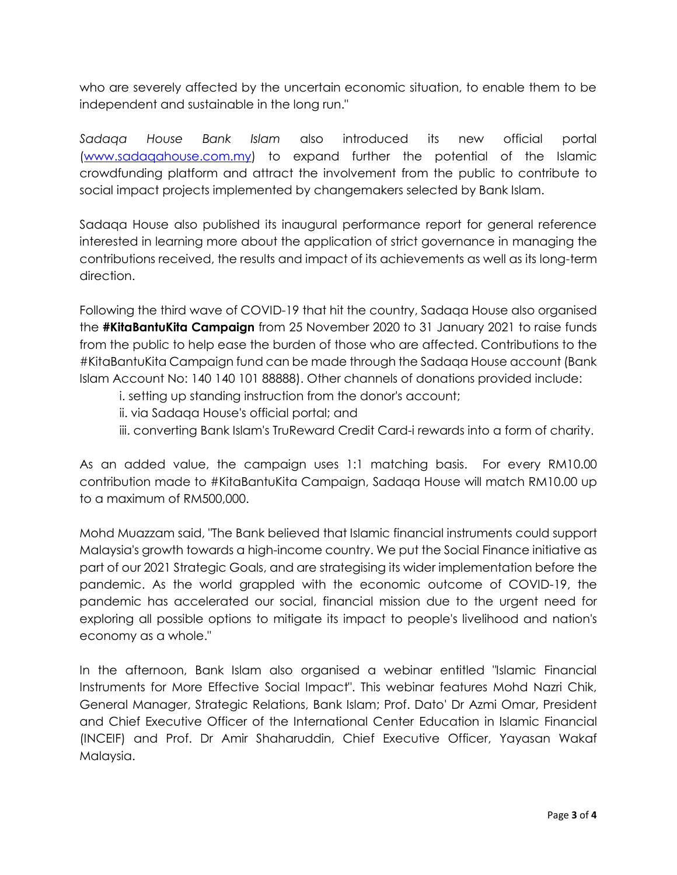who are severely affected by the uncertain economic situation, to enable them to be independent and sustainable in the long run."

*Sadaqa House Bank Islam* also introduced its new official portal [\(www.sadaqahouse.com.my\)](http://www.sadaqahouse.com.my/) to expand further the potential of the Islamic crowdfunding platform and attract the involvement from the public to contribute to social impact projects implemented by changemakers selected by Bank Islam.

Sadaqa House also published its inaugural performance report for general reference interested in learning more about the application of strict governance in managing the contributions received, the results and impact of its achievements as well as its long-term direction.

Following the third wave of COVID-19 that hit the country, Sadaqa House also organised the **#KitaBantuKita Campaign** from 25 November 2020 to 31 January 2021 to raise funds from the public to help ease the burden of those who are affected. Contributions to the #KitaBantuKita Campaign fund can be made through the Sadaqa House account (Bank Islam Account No: 140 140 101 88888). Other channels of donations provided include:

- i. setting up standing instruction from the donor's account;
- ii. via Sadaqa House's official portal; and
- iii. converting Bank Islam's TruReward Credit Card-i rewards into a form of charity.

As an added value, the campaign uses 1:1 matching basis. For every RM10.00 contribution made to #KitaBantuKita Campaign, Sadaqa House will match RM10.00 up to a maximum of RM500,000.

Mohd Muazzam said, "The Bank believed that Islamic financial instruments could support Malaysia's growth towards a high-income country. We put the Social Finance initiative as part of our 2021 Strategic Goals, and are strategising its wider implementation before the pandemic. As the world grappled with the economic outcome of COVID-19, the pandemic has accelerated our social, financial mission due to the urgent need for exploring all possible options to mitigate its impact to people's livelihood and nation's economy as a whole."

In the afternoon, Bank Islam also organised a webinar entitled "Islamic Financial Instruments for More Effective Social Impact". This webinar features Mohd Nazri Chik, General Manager, Strategic Relations, Bank Islam; Prof. Dato' Dr Azmi Omar, President and Chief Executive Officer of the International Center Education in Islamic Financial (INCEIF) and Prof. Dr Amir Shaharuddin, Chief Executive Officer, Yayasan Wakaf Malaysia.